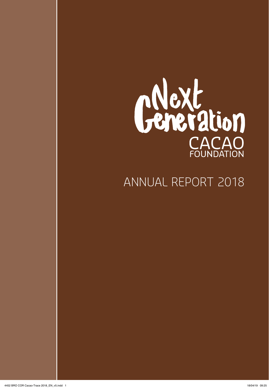

### ANNUAL REPORT 2018

4452 BRO COR Cacao-Trace 2018\_EN\_v5.indd 1 18/04/19 09:25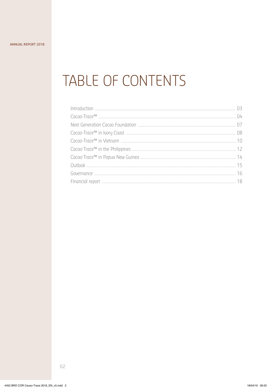## TABLE OF CONTENTS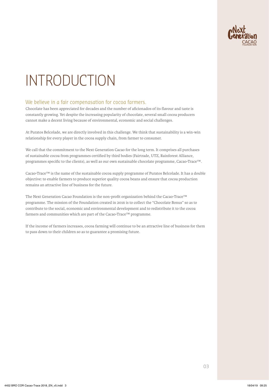

## INTRODUCTION

### We believe in a fair compenasation for cocoa farmers.

Chocolate has been appreciated for decades and the number of aficionados of its flavour and taste is constantly growing. Yet despite the increasing popularity of chocolate, several small cocoa producers cannot make a decent living because of environmental, economic and social challenges.

At Puratos Belcolade, we are directly involved in this challenge. We think that sustainability is a win-win relationship for every player in the cocoa supply chain, from farmer to consumer.

We call that the commitment to the Next Generation Cacao for the long term. It comprises all purchases of sustainable cocoa from programmes certified by third bodies (Fairtrade, UTZ, Rainforest Alliance, programmes specific to the clients), as well as our own sustainable chocolate programme, Cacao-Trace™.

Cacao-Trace™ is the name of the sustainable cocoa supply programme of Puratos Belcolade. It has a double objective: to enable farmers to produce superior quality cocoa beans and ensure that cocoa production remains an attractive line of business for the future.

The Next Generation Cacao Foundation is the non-profit organization behind the Cacao-Trace™ programme. The mission of the Foundation created in 2016 is to collect the "Chocolate Bonus" so as to contribute to the social, economic and environmental development and to redistribute it to the cocoa farmers and communities which are part of the Cacao-Trace™ programme.

If the income of farmers increases, cocoa farming will continue to be an attractive line of business for them to pass down to their children so as to guarantee a promising future.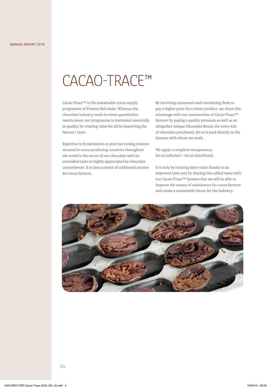## CACAO-TRACE™

Cacao-Trace™ is the sustainable cocoa supply programme of Puratos Belcolade. Whereas the chocolate industry tends to stress quantitative results more, our programme is interested essentially in quality, by creating value for all by improving the flavour / taste.

Expertise in fermentation at post-harvesting stations situated in cocoa producing countries throughout the world is the secret of our chocolate with its unrivalled taste so highly appreciated by chocolate connoisseurs. It is also a source of additional income for cocoa farmers.

By involving consumers and convincing them to pay a higher price for a better product, we share this advantage with our communities of Cacao-Trace™ farmers by paying a quality premium as well as an altogether unique Chocolate Bonus: for every kilo of chocolate purchased,  $\epsilon$  0.10 is paid directly to the farmers with whom we work.

We apply a complete transparency: €0.10 collected = €0.10 distributed.

It is only by creating more value thanks to an improved taste and by sharing this added value with our Cacao-Trace™ farmers that we will be able to improve the means of subsistence for cocoa farmers and create a sustainable future for the industry.

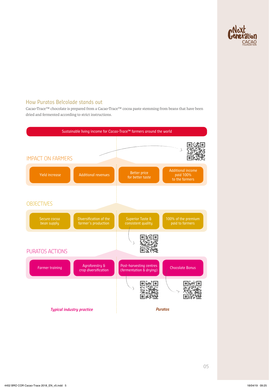

### How Puratos Belcolade stands out

Cacao-Trace™ chocolate is prepared from a Cacao-Trace™ cocoa paste stemming from beans that have been dried and fermented according to strict instructions.

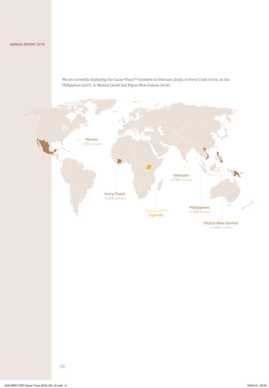We are currently deploying the Cacao-Trace™ initiative in Vietnam (2013), in Ivory Coast (2015), in the Philippines (2017), in Mexico (2018) and Papua New Guinea (2018).

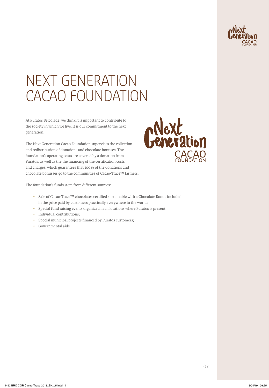

## NEXT GENERATION CACAO FOUNDATION

At Puratos Belcolade, we think it is important to contribute to the society in which we live. It is our commitment to the next generation.

The Next Generation Cacao Foundation supervises the collection and redistribution of donations and chocolate bonuses. The foundation's operating costs are covered by a donation from Puratos, as well as the the financing of the certification costs and charges, which guarantees that 100% of the donations and chocolate bonusses go to the communities of Cacao-Trace™ farmers.



The foundation's funds stem from different sources:

- Sale of Cacao-Trace™ chocolates certified sustainable with a Chocolate Bonus included in the price paid by customers practically everywhere in the world;
- Special fund raising events organized in all locations where Puratos is present;
- Individual contributions;
- Special municipal projects financed by Puratos customers;
- Governmental aids.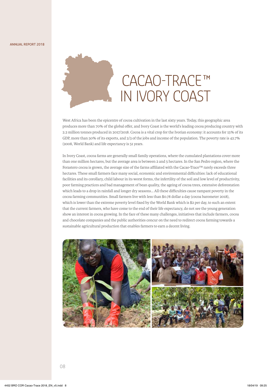ANNUAL REPORT 2018



## CACAO-TRACE™ IN IVORY COAST

West Africa has been the epicentre of cocoa cultivation in the last sixty years. Today, this geographic area produces more than 70% of the global offer, and Ivory Coast is the world's leading cocoa producing country with 2.2 million tonnes produced in 2017/2018. Cocoa is a vital crop for the Ivorian economy: it accounts for 15% of its GDP, more than 50% of its exports, and 2/3 of the jobs and income of the population. The poverty rate is 42.7% (2008, World Bank) and life expectancy is 51 years.

In Ivory Coast, cocoa farms are generally small family operations, where the cumulated plantations cover more than one million hectares, but the average area is between 2 and 5 hectares. In the San Pedro region, where the Forastero cocoa is grown, the average size of the farms affiliated with the Cacao-Trace™ rarely exceeds three hectares. These small farmers face many social, economic and environmental difficulties: lack of educational facilities and its corollary, child labour in its worst forms, the infertility of the soil and low level of productivity, poor farming practices and bad management of bean quality, the ageing of cocoa trees, extensive deforestation which leads to a drop in rainfall and longer dry seasons… All these difficulties cause rampant poverty in the cocoa farming communities. Small farmers live with less than \$0.78 dollar a day (cocoa barometer 2018), which is lower than the extreme poverty level fixed by the World Bank which is \$2 per day, to such an extent that the current farmers, who have come to the end of their life expectancy, do not see the young generation show an interest in cocoa growing. In the face of these many challenges, initiatives that include farmers, cocoa and chocolate companies and the public authorities concur on the need to redirect cocoa farming towards a sustainable agricultural production that enables farmers to earn a decent living.

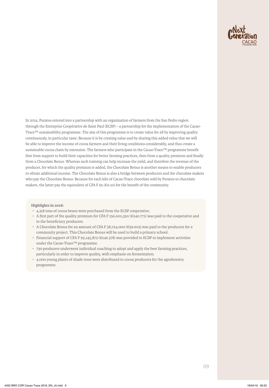

In 2014, Puratos entered into a partnership with an organization of farmers from the San Pedro region through the Entreprise Coopérative de Saint Paul (ECSP) – a partnership for the implementation of the Cacao-Trace™ sustainability programme. The aim of this programme is to create value for all by improving quality continuously, in particular taste. Because it is by creating value and by sharing this added value that we will be able to improve the income of cocoa farmers and their living conditions considerably, and thus create a sustainable cocoa chain by extension. The farmers who participate in the Cacao-Trace™ programme benefit first from support to build their capacities for better farming practices, then from a quality premium and finally from a Chocolate Bonus. Whereas such training can help increase the yield, and therefore the revenue of the producer, for which the quality premium is added, the Chocolate Bonus is another means to enable producers to obtain additional income. The Chocolate Bonus is also a bridge between producers and the chocolate makers who pay the Chocolate Bonus. Because for each kilo of Cacao-Trace chocolate sold by Puratos to chocolate makers, the latter pay the equivalent of CFA F 65 (€0.10) for the benefit of the community.

#### **Highlights in 2018:**

- 4,318 tons of cocoa beans were purchased from the ECSP cooperative.
- A first part of the quality premium for CFA F 156,601,350 ( $\epsilon$ 240.771) was paid to the cooperative and to the beneficiary producers.
- A Chocolate Bonus for an amount of CFA F 38,724,000 (€59.603) was paid to the producers for a community project. This Chocolate Bonus will be used to build a primary school.
- Financial support of CFA F 95,145,872 (€146.378) was provided to ECSP to implement activities under the Cacao-Trace™ programme.
- 730 producers underwent individual coaching to adopt and apply the best farming practices, particularly in order to improve quality, with emphasis on fermentation.
- 4,000 young plants of shade trees were distributed to cocoa producers for the agroforestry programme.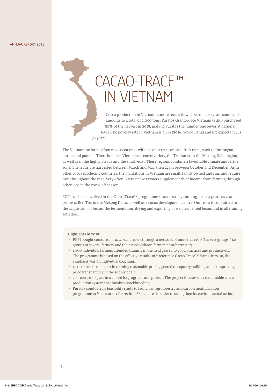# CACAO-TRACE™ IN VIETNAM

Cocoa production in Vietnam is more recent (it will be some 20 years soon) and amounts to a total of 2,000 tons. Puratos Grand-Place Vietnam (PGPI) purchased 50% of the harvest in 2018, making Puratos the number one buyer at national level. The poverty rate in Vietnam is 9.8% (2016, World Bank) and life expectancy is 76 years.

The Vietnamese farms often mix cocoa trees with coconut trees or local fruit trees, such as the longan, durian and pomelo. There is a local Vietnamese cocoa variety, the Trinitario, in the Mekong Delta region, as well as in the high plateaus and the south-east. These regions combine a favourable climate and fertile soils. The fruits are harvested between March and May, then again between October and December. As in other cocoa producing countries, the plantations in Vietnam are small, family owned and run, and require care throughout the year. Very often, Vietnamese farmers supplement their income from farming through other jobs in the cocoa off season.

PGPI has been involved in the Cacao-Trace™ programme since 2014, by running a cocoa post-harvest centre at Ben Tre, in the Mekong Delta, as well as a cocoa development centre. Our team is committed to the acquisition of beans, the fermentation, drying and exporting of well fermented beans and in all training activities.

#### **Highlights in 2018:**

- PGPI bought cocoa from ca. 2,942 farmers through a network of more than 100 "harvest groups," i.e. groups of several farmers and their consolidator (fermenter or harvester).
- 1,500 individual farmers attended training in the field geared to good practices and productivity. The programme is based on the effective results of 7 reference Cacao-Trace™ farms. In 2018, the emphasis was on individual coaching.
- 1,500 farmers took part in training reasonable pricing geared to capacity building and to improving price transparency in the supply chain.
- 7 farmers took part in a closed loop agricultural project. The project focuses on a sustainable cocoa production system that involves stockbreeding.
- Puratos conducted a feasibility study to launch an agroforestry and carbon neutralization programme in Vietnam as of 2019 for 286 hectares in order to strengthen its environmental action.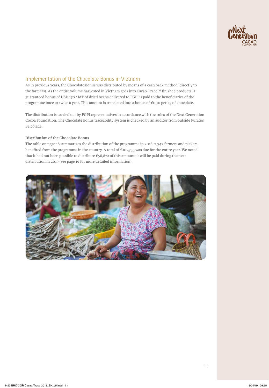

### Implementation of the Chocolate Bonus in Vietnam

As in previous years, the Chocolate Bonus was distributed by means of a cash back method (directly to the farmers). As the entire volume harvested in Vietnam goes into Cacao-Trace™ finished products, a guaranteed bonus of USD 170 / MT of dried beans delivered to PGPI is paid to the beneficiaries of the programme once or twice a year. This amount is translated into a bonus of €0.10 per kg of chocolate.

The distribution is carried out by PGPI representatives in accordance with the rules of the Next Generation Cocoa Foundation. The Chocolate Bonus traceability system is checked by an auditor from outside Puratos Belcolade.

#### **Distribution of the Chocolate Bonus**

The table on page 18 summarizes the distribution of the programme in 2018. 2,942 farmers and pickers benefited from the programme in the country. A total of €107,755 was due for the entire year. We noted that it had not been possible to distribute €58,872 of this amount; it will be paid during the next distribution in 2019 (see page 19 for more detailed information).

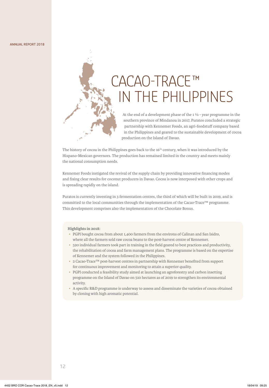## CACAO-TRACE™ IN THE PHILIPPINES

At the end of a development phase of the 1 ½ - year programme in the southern province of Mindanoa in 2017, Puratos concluded a strategic partnership with Kennemer Foods, an agri-foodstuff company based in the Philippines and geared to the sustainable development of cocoa production on the Island of Davao.

The history of cocoa in the Philippines goes back to the 16<sup>th</sup> century, when it was introduced by the Hispano-Mexican governors. The production has remained limited in the country and meets mainly the national consumption needs.

Kennemer Foods instigated the revival of the supply chain by providing innovative financing modes and fixing clear results for coconut producers in Davao. Cocoa is now interposed with other crops and is spreading rapidly on the island.

Puratos is currently investing in 3 fermentation centres, the third of which will be built in 2019, and is committed to the local communities through the implementation of the Cacao-Trace™ programme. This development comprises also the implementation of the Chocolate Bonus.

#### **Highlights in 2018:**

- PGPI bought cocoa from about 1,400 farmers from the environs of Calinan and San Isidro, where all the farmers sold raw cocoa beans to the post-harvest centre of Kennemer.
- 520 individual farmers took part in training in the field geared to best practices and productivity, the rehabilitation of cocoa and farm management plans. The programme is based on the expertise of Kennemer and the system followed in the Philippines.
- 2 Cacao-Trace™ post-harvest centres in partnership with Kennemer benefited from support for continuous improvement and monitoring to attain a superior quality.
- PGPI conducted a feasibility study aimed at launching an agroforestry and carbon insetting programme on the Island of Davao on 510 hectares as of 2019 to strengthen its environmental activity.
- A specific R&D programme is underway to assess and disseminate the varieties of cocoa obtained by cloning with high aromatic potential.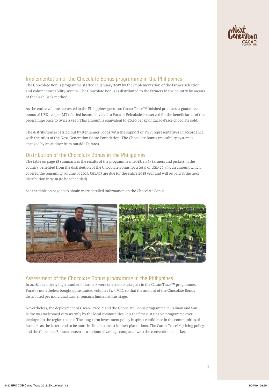

### Implementation of the Chocolate Bonus programme in the Philippines

The Chocolate Bonus programme started in January 2017 by the implementation of the farmer selection and volume traceability system. The Chocolate Bonus is distributed to the farmers in the country by means of the Cash Back method.

As the entire volume harvested in the Philippines goes into Cacao-Trace™ finished products, a guaranteed bonus of USD 170 per MT of dried beans delivered to Puratos Belcolade is reserved for the beneficiaries of the programme once to twice a year. This amount is equivalent to €0.10 per kg of Cacao-Trace chocolate sold.

The distribution is carried out by Kennemer Foods with the support of PGPI representatives in accordance with the rules of the Next Generation Cacao Foundation. The Chocolate Bonus traceability system is checked by an auditor from outside Puratos.

### Distribution of the Chocolate Bonus in the Philippines

The table on page 18 summarizes the results of the programme in 2018. 1,465 farmers and pickers in the country benefited from the distribution of the Chocolate Bonus for a total of USD 26,497, an amount which covered the remaining volume of 2017. €53,573 are due for the entire 2018 year and will be paid at the next distribution in 2019 (to be scheduled).

See the table on page 18 to obtain more detailed information on the Chocolate Bonus.



### Assessment of the Chocolate Bonus programme in the Philippines

In 2018, a relatively high number of farmers were selected to take part in the Cacao-Trace™ programme. Puratos nonetheless bought quite limited volumes (375 MT), so that the amount of the Chocolate Bonus distributed per individual farmer remains limited at this stage.

Nevertheless, the deployment of Cacao-Trace™ and the Chocolate Bonus programme in Calinan and San Isidro was welcomed very warmly by the local communities: It is the first sustainable programme ever deployed in the region to date. The long-term investment policy inspires confidence in the communities of farmers, as the latter tend to be more inclined to invest in their plantations. The Cacao-Trace™ pricing policy and the Chocolate Bonus are seen as a serious advantage compared with the conventional market.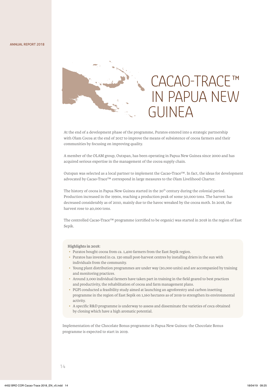#### ANNUAL REPORT 2018



### CACAO-TRACE™ IN PAPUA NEW GUINEA

At the end of a development phase of the programme, Puratos entered into a strategic partnership with Olam Cocoa at the end of 2017 to improve the means of subsistence of cocoa farmers and their communities by focusing on improving quality.

A member of the OLAM group, Outspan, has been operating in Papua New Guinea since 2000 and has acquired serious expertise in the management of the cocoa supply chain.

Outspan was selected as a local partner to implement the Cacao-Trace™. In fact, the ideas for development advocated by Cacao-Trace™ correspond in large measures to the Olam Livelihood Charter.

The history of cocoa in Papua New Guinea started in the 20<sup>th</sup> century during the colonial period. Production increased in the 1990s, reaching a production peak of some 50,000 tons. The harvest has decreased considerably as of 2010, mainly due to the havoc wreaked by the cocoa moth. In 2018, the harvest rose to 40,000 tons.

The controlled Cacao-Trace™ programme (certified to be organic) was started in 2018 in the region of East Sepik.

#### **Highlights in 2018:**

- Puratos bought cocoa from ca. 1,400 farmers from the East Sepik region.
- Puratos has invested in ca. 130 small post-harvest centres by installing driers in the sun with individuals from the community.
- Young plant distribution programmes are under way (20,000 units) and are accompanied by training and monitoring practices.
- Around 2,000 individual farmers have taken part in training in the field geared to best practices and productivity, the rehabilitation of cocoa and farm management plans.
- PGPI conducted a feasibility study aimed at launching an agroforestry and carbon insetting programme in the region of East Sepik on 1,160 hectares as of 2019 to strengthen its environmental activity.
- A specific R&D programme is underway to assess and disseminate the varieties of coca obtained by cloning which have a high aromatic potential.

Implementation of the Chocolate Bonus programme in Papua New Guinea: the Chocolate Bonus programme is expected to start in 2019.

#### 14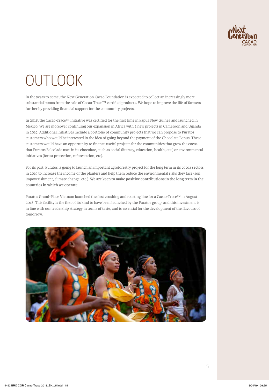

## **OUTLOOK**

In the years to come, the Next Generation Cacao Foundation is expected to collect an increasingly more substantial bonus from the sale of Cacao-Trace™ certified products. We hope to improve the life of farmers further by providing financial support for the community projects.

In 2018, the Cacao-Trace™ initiative was certified for the first time in Papua New Guinea and launched in Mexico. We are moreover continuing our expansion in Africa with 2 new projects in Cameroon and Uganda in 2019. Additional initiatives include a portfolio of community projects that we can propose to Puratos customers who would be interested in the idea of going beyond the payment of the Chocolate Bonus. These customers would have an opportunity to finance useful projects for the communities that grow the cocoa that Puratos Belcolade uses in its chocolate, such as social (literacy, education, health, etc.) or environmental initiatives (forest protection, reforestation, etc).

For its part, Puratos is going to launch an important agroforestry project for the long term in its cocoa sectors in 2019 to increase the income of the planters and help them reduce the environmental risks they face (soil impoverishment, climate change, etc.). **We are keen to make positive contributions in the long term in the countries in which we operate.**

Puratos Grand-Place Vietnam launched the first crushing and roasting line for a Cacao-Trace™ in August 2018. This facility is the first of its kind to have been launched by the Puratos group, and this investment is in line with our leadership strategy in terms of taste, and is essential for the development of the flavours of tomorrow.

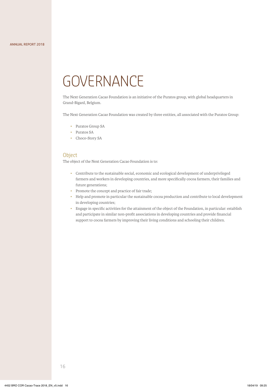## **GOVERNANCE**

The Next Generation Cacao Foundation is an initiative of the Puratos group, with global headquarters in Grand-Bigard, Belgium.

The Next Generation Cacao Foundation was created by three entities, all associated with the Puratos Group:

- Puratos Group SA
- Puratos SA
- Choco-Story SA

### **Object**

The object of the Next Generation Cacao Foundation is to:

- Contribute to the sustainable social, economic and ecological development of underprivileged farmers and workers in developing countries, and more specifically cocoa farmers, their families and future generations;
- Promote the concept and practice of fair trade;
- Help and promote in particular the sustainable cocoa production and contribute to local development in developing countries;
- Engage in specific activities for the attainment of the object of the Foundation, in particular: establish and participate in similar non-profit associations in developing countries and provide financial support to cocoa farmers by improving their living conditions and schooling their children.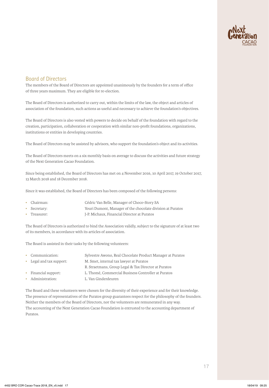

### Board of Directors

The members of the Board of Directors are appointed unanimously by the founders for a term of office of three years maximum. They are eligible for re-election.

The Board of Directors is authorized to carry out, within the limits of the law, the object and articles of association of the foundation, such actions as useful and necessary to achieve the foundation's objectives.

The Board of Directors is also vested with powers to decide on behalf of the foundation with regard to the creation, participation, collaboration or cooperation with similar non-profit foundations, organizations, institutions or entities in developing countries.

The Board of Directors may be assisted by advisors, who support the foundation's object and its activities.

The Board of Directors meets on a six monthly basis on average to discuss the activities and future strategy of the Next Generation Cacao Foundation.

Since being established, the Board of Directors has met on 4 November 2016, 10 April 2017, 19 October 2017, 13 March 2018 and 18 December 2018.

Since it was established, the Board of Directors has been composed of the following persons:

- Chairman: Cédric Van Belle, Manager of Choco-Story SA
- Secretary: Youri Dumont, Manager of the chocolate division at Puratos
- Treasurer: J-P. Michaux, Financial Director at Puratos

The Board of Directors is authorized to bind the Association validly, subject to the signature of at least two of its members, in accordance with its articles of association.

The Board is assisted in their tasks by the following volunteers:

| • Communication:         | Sylvestre Awono, Real Chocolate Product Manager at Puratos |
|--------------------------|------------------------------------------------------------|
| • Legal and tax support: | M. Smet, internal tax lawyer at Puratos                    |
|                          | R. Straetmans, Group Legal & Tax Director at Puratos       |
| • Financial support:     | L. Thomé, Commercial Business Controller at Puratos        |
| • Administration:        | L. Van Ginderdeuren                                        |

The Board and these volunteers were chosen for the diversity of their experience and for their knowledge. The presence of representatives of the Puratos group guarantees respect for the philosophy of the founders. Neither the members of the Board of Directors, nor the volunteers are remunerated in any way. The accounting of the Next Generation Cacao Foundation is entrusted to the accounting department of Puratos.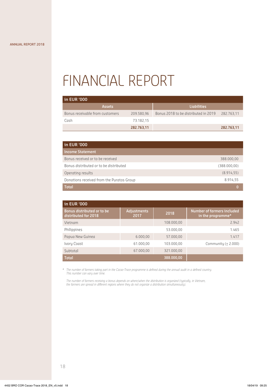## FINANCIAL REPORT

| in EUR '000                     |            |                                      |            |  |  |  |
|---------------------------------|------------|--------------------------------------|------------|--|--|--|
| <b>Assets</b>                   |            | <b>Liabilities</b>                   |            |  |  |  |
| Bonus receivable from customers | 209.580,96 | Bonus 2018 to be distributed in 2019 | 282.763.11 |  |  |  |
| Cash                            | 73.182.15  |                                      |            |  |  |  |
|                                 | 282.763,11 |                                      | 282.763,11 |  |  |  |

| in EUR '000                               |              |
|-------------------------------------------|--------------|
| <b>Income Statement</b>                   |              |
| Bonus received or to be received          | 388,000,00   |
| Bonus distributed or to be distributed    | (388.000,00) |
| Operating results                         | (8.914, 55)  |
| Donations received from the Puratos Group | 8.914,55     |
| <b>Total</b>                              |              |

| in EUR '000                                        |                            |            |                                                 |  |  |
|----------------------------------------------------|----------------------------|------------|-------------------------------------------------|--|--|
| Bonus distributed or to be<br>distributed for 2018 | <b>Adjustments</b><br>2017 | 2018       | Number of farmers included<br>in the programme* |  |  |
| Vietnam                                            |                            | 108.000.00 | 2.942                                           |  |  |
| Philippines                                        |                            | 53.000,00  | 1.465                                           |  |  |
| Papua New Guinea                                   | 6.000,00                   | 57.000,00  | 1.417                                           |  |  |
| Ivory Coast                                        | 61.000,00                  | 103.000,00 | Community $(\pm 2.000)$                         |  |  |
| Subtotal                                           | 67.000.00                  | 321.000.00 |                                                 |  |  |
| <b>Total</b>                                       |                            | 388,000,00 |                                                 |  |  |

*\* The number of farmers taking part in the Cacao-Trace programme is defined during the annual audit in a defined country. This number can vary over time.*

*The number of farmers receiving a bonus depends on where/when the distribution is organized (typically, in Vietnam, the farmers are spread in different regions where they do not organize a distribution simultaneously).*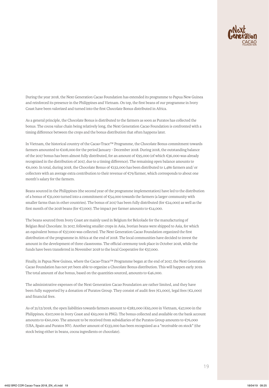

During the year 2018, the Next Generation Cacao Foundation has extended its programme to Papua New Guinea and reinforced its presence in the Philippines and Vietnam. On top, the first beans of our programme in Ivory Coast have been valorized and turned into the first Chocolate Bonus distributed in Africa.

As a general principle, the Chocolate Bonus is distributed to the farmers as soon as Puratos has collected the bonus. The cocoa value chain being relatively long, the Next Generation Cacao Foundation is confronted with a timing difference between the crops and the bonus distribution that often happens later.

In Vietnam, the historical country of the Cacao-Trace™ Programme, the Chocolate Bonus commitment towards farmers amounted to €108,000 for the period January - December 2018. During 2018, the outstanding balance of the 2017 bonus has been almost fully distributed, for an amount of €95,000 (of which €36,000 was already recognized in the distribution of 2017, due to a timing difference). The remaining open balance amounts to €6,000. In total, during 2018, the Chocolate Bonus of €132,000 has been distributed to 1,486 farmers and/ or collectors with an average extra contribution to their revenue of €79/farmer, which corresponds to about one month's salary for the farmers.

Beans sourced in the Philippines (the second year of the programme implementation) have led to the distribution of a bonus of €31,000 turned into a commitment of €54,000 towards the farmers (a larger community with smaller farms than in other countries). The bonus of 2017 has been fully distributed (for €24,000) as well as the first month of the 2018 beans (for €7,000). The impact per farmer amounts to €14,000.

The beans sourced from Ivory Coast are mainly used in Belgium for Belcolade for the manufacturing of Belgian Real Chocolate. In 2017, following smaller crops in Asia, Ivorian beans were shipped to Asia, for which an equivalent bonus of €57,000 was collected. The Next Generation Cacao Foundation organized the first distribution of the programme in Africa at the end of 2018. The local communities have decided to invest the amount in the development of three classrooms. The official ceremony took place in October 2018, while the funds have been transferred in November 2018 to the local Cooperative for €57,000.

Finally, in Papua New Guinea, where the Cacao-Trace™ Programme began at the end of 2017, the Next Generation Cacao Foundation has not yet been able to organize a Chocolate Bonus distribution. This will happen early 2019. The total amount of due bonus, based on the quantities sourced, amounts to  $€46,000$ .

The administrative expenses of the Next Generation Cacao Foundation are rather limited, and they have been fully supported by a donation of Puratos Group. They consist of audit fees (€1,000), legal fees (€2,000) and financial fees.

As of 31/12/2018, the open liabilities towards farmers amount to €282,000 (€65,000 in Vietnam, €47,000 in the Philippines, €107,000 in Ivory Coast and €63,000 in PNG). The bonus collected and available on the bank account amounts to €60,000. The amount to be received from subsidiaries of the Puratos Group amounts to €76,000 (USA, Spain and Puratos NV). Another amount of €133,000 has been recognized as a "receivable on stock" (the stock being either in beans, cocoa ingredients or chocolate).